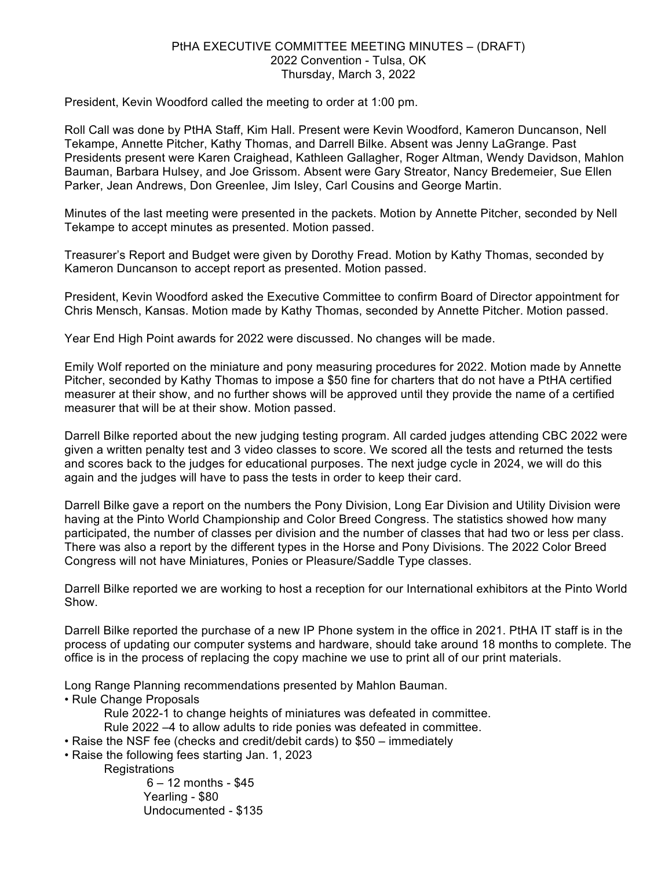## PtHA EXECUTIVE COMMITTEE MEETING MINUTES – (DRAFT) 2022 Convention - Tulsa, OK Thursday, March 3, 2022

President, Kevin Woodford called the meeting to order at 1:00 pm.

Roll Call was done by PtHA Staff, Kim Hall. Present were Kevin Woodford, Kameron Duncanson, Nell Tekampe, Annette Pitcher, Kathy Thomas, and Darrell Bilke. Absent was Jenny LaGrange. Past Presidents present were Karen Craighead, Kathleen Gallagher, Roger Altman, Wendy Davidson, Mahlon Bauman, Barbara Hulsey, and Joe Grissom. Absent were Gary Streator, Nancy Bredemeier, Sue Ellen Parker, Jean Andrews, Don Greenlee, Jim Isley, Carl Cousins and George Martin.

Minutes of the last meeting were presented in the packets. Motion by Annette Pitcher, seconded by Nell Tekampe to accept minutes as presented. Motion passed.

Treasurer's Report and Budget were given by Dorothy Fread. Motion by Kathy Thomas, seconded by Kameron Duncanson to accept report as presented. Motion passed.

President, Kevin Woodford asked the Executive Committee to confirm Board of Director appointment for Chris Mensch, Kansas. Motion made by Kathy Thomas, seconded by Annette Pitcher. Motion passed.

Year End High Point awards for 2022 were discussed. No changes will be made.

Emily Wolf reported on the miniature and pony measuring procedures for 2022. Motion made by Annette Pitcher, seconded by Kathy Thomas to impose a \$50 fine for charters that do not have a PtHA certified measurer at their show, and no further shows will be approved until they provide the name of a certified measurer that will be at their show. Motion passed.

Darrell Bilke reported about the new judging testing program. All carded judges attending CBC 2022 were given a written penalty test and 3 video classes to score. We scored all the tests and returned the tests and scores back to the judges for educational purposes. The next judge cycle in 2024, we will do this again and the judges will have to pass the tests in order to keep their card.

Darrell Bilke gave a report on the numbers the Pony Division, Long Ear Division and Utility Division were having at the Pinto World Championship and Color Breed Congress. The statistics showed how many participated, the number of classes per division and the number of classes that had two or less per class. There was also a report by the different types in the Horse and Pony Divisions. The 2022 Color Breed Congress will not have Miniatures, Ponies or Pleasure/Saddle Type classes.

Darrell Bilke reported we are working to host a reception for our International exhibitors at the Pinto World Show.

Darrell Bilke reported the purchase of a new IP Phone system in the office in 2021. PtHA IT staff is in the process of updating our computer systems and hardware, should take around 18 months to complete. The office is in the process of replacing the copy machine we use to print all of our print materials.

Long Range Planning recommendations presented by Mahlon Bauman.

• Rule Change Proposals

Rule 2022-1 to change heights of miniatures was defeated in committee.

Rule 2022 –4 to allow adults to ride ponies was defeated in committee.

- Raise the NSF fee (checks and credit/debit cards) to \$50 immediately
- Raise the following fees starting Jan. 1, 2023

**Registrations** 

 $6 - 12$  months - \$45 Yearling - \$80 Undocumented - \$135